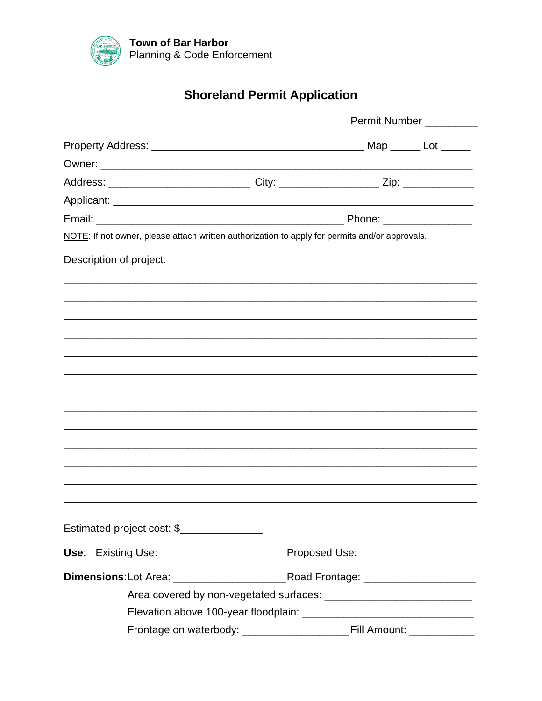

# **Shoreland Permit Application**

|                                                                                                      | Permit Number __________ |  |  |  |
|------------------------------------------------------------------------------------------------------|--------------------------|--|--|--|
|                                                                                                      |                          |  |  |  |
|                                                                                                      |                          |  |  |  |
| Address: _________________________________City: _______________________Zip: ________________________ |                          |  |  |  |
|                                                                                                      |                          |  |  |  |
|                                                                                                      |                          |  |  |  |
| NOTE: If not owner, please attach written authorization to apply for permits and/or approvals.       |                          |  |  |  |
|                                                                                                      |                          |  |  |  |
|                                                                                                      |                          |  |  |  |
|                                                                                                      |                          |  |  |  |
|                                                                                                      |                          |  |  |  |
|                                                                                                      |                          |  |  |  |
|                                                                                                      |                          |  |  |  |
|                                                                                                      |                          |  |  |  |
|                                                                                                      |                          |  |  |  |
|                                                                                                      |                          |  |  |  |
|                                                                                                      |                          |  |  |  |
|                                                                                                      |                          |  |  |  |
|                                                                                                      |                          |  |  |  |
|                                                                                                      |                          |  |  |  |
|                                                                                                      |                          |  |  |  |
|                                                                                                      |                          |  |  |  |
| Estimated project cost: \$                                                                           |                          |  |  |  |
|                                                                                                      |                          |  |  |  |
|                                                                                                      |                          |  |  |  |
|                                                                                                      |                          |  |  |  |
|                                                                                                      |                          |  |  |  |
|                                                                                                      |                          |  |  |  |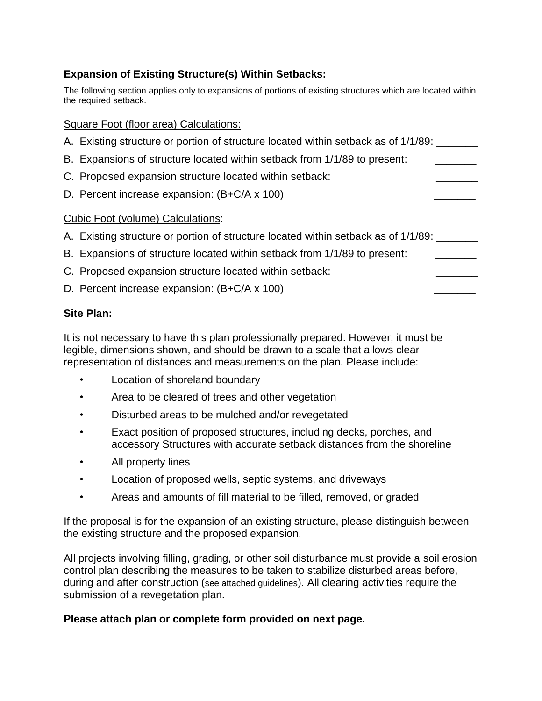# **Expansion of Existing Structure(s) Within Setbacks:**

The following section applies only to expansions of portions of existing structures which are located within the required setback.

### Square Foot (floor area) Calculations:

- A. Existing structure or portion of structure located within setback as of 1/1/89:
- B. Expansions of structure located within setback from 1/1/89 to present:
- C. Proposed expansion structure located within setback:
- D. Percent increase expansion:  $(B+C/A \times 100)$

### Cubic Foot (volume) Calculations:

- A. Existing structure or portion of structure located within setback as of 1/1/89:
- B. Expansions of structure located within setback from 1/1/89 to present:
- C. Proposed expansion structure located within setback:
- D. Percent increase expansion:  $(B+C/A \times 100)$

### **Site Plan:**

It is not necessary to have this plan professionally prepared. However, it must be legible, dimensions shown, and should be drawn to a scale that allows clear representation of distances and measurements on the plan. Please include:

- Location of shoreland boundary
- Area to be cleared of trees and other vegetation
- Disturbed areas to be mulched and/or revegetated
- Exact position of proposed structures, including decks, porches, and accessory Structures with accurate setback distances from the shoreline
- All property lines
- Location of proposed wells, septic systems, and driveways
- Areas and amounts of fill material to be filled, removed, or graded

If the proposal is for the expansion of an existing structure, please distinguish between the existing structure and the proposed expansion.

All projects involving filling, grading, or other soil disturbance must provide a soil erosion control plan describing the measures to be taken to stabilize disturbed areas before, during and after construction (see attached guidelines). All clearing activities require the submission of a revegetation plan.

### **Please attach plan or complete form provided on next page.**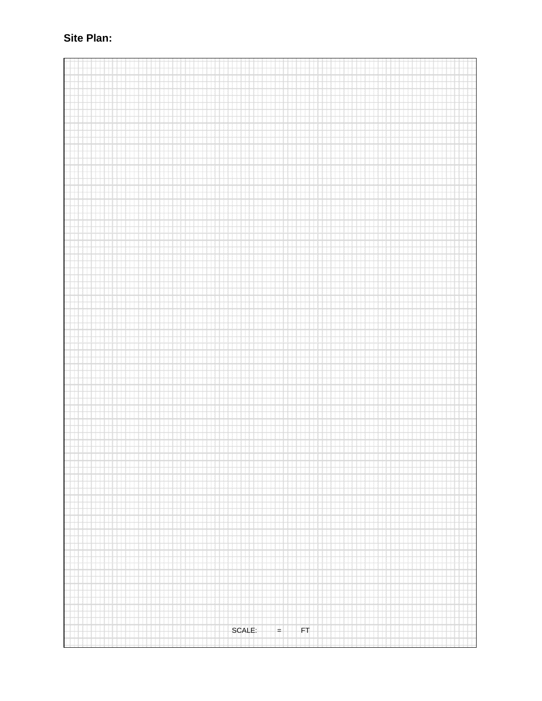# Site Plan:

SCALE:  $FT$  $\left| + \right|$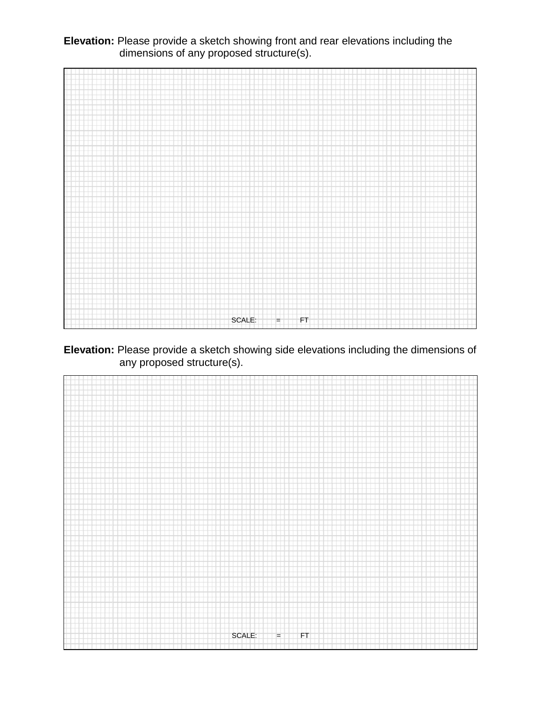**Elevation:** Please provide a sketch showing front and rear elevations including the dimensions of any proposed structure(s).



**Elevation:** Please provide a sketch showing side elevations including the dimensions of any proposed structure(s).

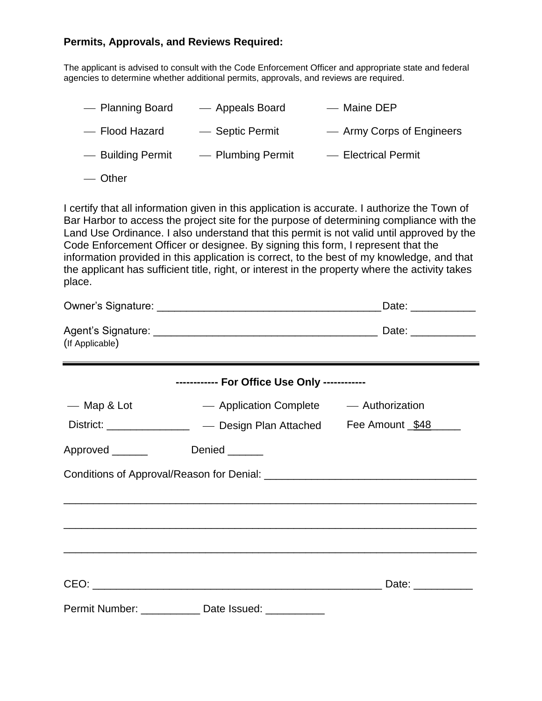#### **Permits, Approvals, and Reviews Required:**

The applicant is advised to consult with the Code Enforcement Officer and appropriate state and federal agencies to determine whether additional permits, approvals, and reviews are required.

| - Planning Board  | — Appeals Board   | — Maine DEP               |
|-------------------|-------------------|---------------------------|
| - Flood Hazard    | - Septic Permit   | — Army Corps of Engineers |
| - Building Permit | - Plumbing Permit | - Electrical Permit       |
| — Other           |                   |                           |

I certify that all information given in this application is accurate. I authorize the Town of Bar Harbor to access the project site for the purpose of determining compliance with the Land Use Ordinance. I also understand that this permit is not valid until approved by the Code Enforcement Officer or designee. By signing this form, I represent that the information provided in this application is correct, to the best of my knowledge, and that the applicant has sufficient title, right, or interest in the property where the activity takes place.

|                                               |                                                                   | Date: ____________ |  |  |  |  |  |
|-----------------------------------------------|-------------------------------------------------------------------|--------------------|--|--|--|--|--|
| (If Applicable)                               |                                                                   |                    |  |  |  |  |  |
| ------------ For Office Use Only ------------ |                                                                   |                    |  |  |  |  |  |
| — Map & Lot                                   | - Application Complete - Authorization                            |                    |  |  |  |  |  |
|                                               | District: ________________ — Design Plan Attached Fee Amount \$48 |                    |  |  |  |  |  |
| Approved ______                               | Denied ______                                                     |                    |  |  |  |  |  |
|                                               |                                                                   |                    |  |  |  |  |  |
|                                               |                                                                   |                    |  |  |  |  |  |
|                                               |                                                                   |                    |  |  |  |  |  |
|                                               |                                                                   |                    |  |  |  |  |  |
|                                               | Permit Number: _____________ Date Issued: __________              |                    |  |  |  |  |  |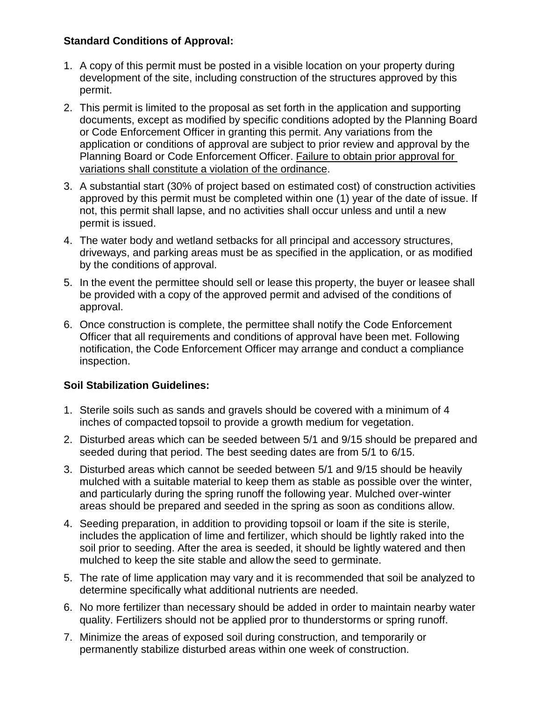# **Standard Conditions of Approval:**

- 1. A copy of this permit must be posted in a visible location on your property during development of the site, including construction of the structures approved by this permit.
- 2. This permit is limited to the proposal as set forth in the application and supporting documents, except as modified by specific conditions adopted by the Planning Board or Code Enforcement Officer in granting this permit. Any variations from the application or conditions of approval are subject to prior review and approval by the Planning Board or Code Enforcement Officer. Failure to obtain prior approval for variations shall constitute a violation of the ordinance.
- 3. A substantial start (30% of project based on estimated cost) of construction activities approved by this permit must be completed within one (1) year of the date of issue. If not, this permit shall lapse, and no activities shall occur unless and until a new permit is issued.
- 4. The water body and wetland setbacks for all principal and accessory structures, driveways, and parking areas must be as specified in the application, or as modified by the conditions of approval.
- 5. In the event the permittee should sell or lease this property, the buyer or leasee shall be provided with a copy of the approved permit and advised of the conditions of approval.
- 6. Once construction is complete, the permittee shall notify the Code Enforcement Officer that all requirements and conditions of approval have been met. Following notification, the Code Enforcement Officer may arrange and conduct a compliance inspection.

# **Soil Stabilization Guidelines:**

- 1. Sterile soils such as sands and gravels should be covered with a minimum of 4 inches of compacted topsoil to provide a growth medium for vegetation.
- 2. Disturbed areas which can be seeded between 5/1 and 9/15 should be prepared and seeded during that period. The best seeding dates are from 5/1 to 6/15.
- 3. Disturbed areas which cannot be seeded between 5/1 and 9/15 should be heavily mulched with a suitable material to keep them as stable as possible over the winter, and particularly during the spring runoff the following year. Mulched over-winter areas should be prepared and seeded in the spring as soon as conditions allow.
- 4. Seeding preparation, in addition to providing topsoil or loam if the site is sterile, includes the application of lime and fertilizer, which should be lightly raked into the soil prior to seeding. After the area is seeded, it should be lightly watered and then mulched to keep the site stable and allow the seed to germinate.
- 5. The rate of lime application may vary and it is recommended that soil be analyzed to determine specifically what additional nutrients are needed.
- 6. No more fertilizer than necessary should be added in order to maintain nearby water quality. Fertilizers should not be applied pror to thunderstorms or spring runoff.
- 7. Minimize the areas of exposed soil during construction, and temporarily or permanently stabilize disturbed areas within one week of construction.